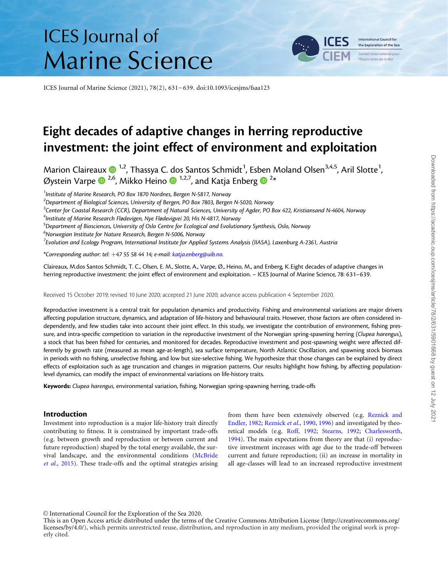# **ICES** Journal of **Marine Science**

ICES Journal of Marine Science (2021), 78(2), 631-639. doi:10.1093/icesjms/fsaa123

# Eight decades of adaptive changes in herring reproductive investment: the joint effect of environment and exploitation

Marion Claireaux  $\mathbf{D}^{1,2}$ , Thassya C. dos Santos Schmidt $^1$ , Esben Moland Olsen $^{3,4,5}$ , Aril Slotte $^1$ , Øystein Varpe  $\bullet^{2,6}$ , Mikko Heino  $\bullet^{1,2,7}$ , and Katja Enberg  $\bullet^{2*}$ 

<sup>1</sup>Institute of Marine Research, PO Box 1870 Nordnes, Bergen N-5817, Norway

 $^2$ Department of Biological Sciences, University of Bergen, PO Box 7803, Bergen N-5020, Norway

<sup>3</sup>Center for Coastal Research (CCR), Department of Natural Sciences, University of Agder, PO Box 422, Kristiansand N-4604, Norway

<sup>4</sup>Institute of Marine Research Flødevigen, Nye Flødevigvei 20, His N-4817, Norway

<sup>5</sup>Department of Biosciences, University of Oslo Centre for Ecological and Evolutionary Synthesis, Oslo, Norway

<sup>6</sup>Norwegian Institute for Nature Research, Bergen N-5006, Norway

<sup>7</sup>Evolution and Ecology Program, International Institute for Applied Systems Analysis (IIASA), Laxenburg A-2361, Austria

\*Corresponding author: tel:  $+47$  55 58 44 14; e-mail: [katja.enberg@uib.no](mailto:katja.enberg@uib.no).

Claireaux, M.dos Santos Schmidt, T. C., Olsen, E. M., Slotte, A., Varpe, Ø., Heino, M., and Enberg, K. Eight decades of adaptive changes in herring reproductive investment: the joint effect of environment and exploitation. – ICES Journal of Marine Science , 78: 631–639.

Received 15 October 2019; revised 10 June 2020; accepted 21 June 2020 ; advance access publication 4 September 2020.

Reproductive investment is a central trait for population dynamics and productivity. Fishing and environmental variations are major drivers affecting population structure, dynamics, and adaptation of life-history and behavioural traits. However, those factors are often considered independently, and few studies take into account their joint effect. In this study, we investigate the contribution of environment, fishing pressure, and intra-specific competition to variation in the reproductive investment of the Norwegian spring-spawning herring (Clupea harengus), a stock that has been fished for centuries, and monitored for decades. Reproductive investment and post-spawning weight were affected differently by growth rate (measured as mean age-at-length), sea surface temperature, North Atlantic Oscillation, and spawning stock biomass in periods with no fishing, unselective fishing, and low but size-selective fishing. We hypothesize that those changes can be explained by direct effects of exploitation such as age truncation and changes in migration patterns. Our results highlight how fishing, by affecting populationlevel dynamics, can modify the impact of environmental variations on life-history traits.

Keywords: Clupea harengus, environmental variation, fishing, Norwegian spring-spawning herring, trade-offs

## Introduction

Investment into reproduction is a major life-history trait directly contributing to fitness. It is constrained by important trade-offs (e.g. between growth and reproduction or between current and future reproduction) shaped by the total energy available, the survival landscape, and the environmental conditions [\(McBride](#page-7-0) et al.[, 2015\)](#page-7-0). These trade-offs and the optimal strategies arising

from them have been extensively observed (e.g. [Reznick and](#page-8-0) [Endler, 1982](#page-8-0); [Reznick](#page-8-0) et al., 1990, [1996\)](#page-8-0) and investigated by theoretical models (e.g. [Roff, 1992;](#page-8-0) [Stearns, 1992](#page-8-0); [Charlesworth,](#page-6-0) [1994\)](#page-6-0). The main expectations from theory are that (i) reproductive investment increases with age due to the trade-off between current and future reproduction; (ii) an increase in mortality in all age-classes will lead to an increased reproductive investment

V<sup>C</sup> International Council for the Exploration of the Sea 2020.

**International Council for** the Exploration of the Sea

This is an Open Access article distributed under the terms of the Creative Commons Attribution License ([http://creativecommons.org/](http://creativecommons.org/licenses/by/4.0/) [licenses/by/4.0/\)](http://creativecommons.org/licenses/by/4.0/), which permits unrestricted reuse, distribution, and reproduction in any medium, provided the original work is properly cited.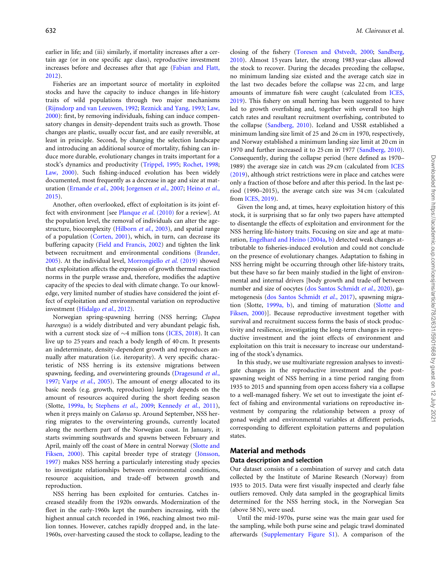earlier in life; and (iii) similarly, if mortality increases after a certain age (or in one specific age class), reproductive investment increases before and decreases after that age [\(Fabian and Flatt,](#page-7-0) [2012\)](#page-7-0).

Fisheries are an important source of mortality in exploited stocks and have the capacity to induce changes in life-history traits of wild populations through two major mechanisms ([Rijnsdorp and van Leeuwen, 1992](#page-8-0); [Reznick and Yang, 1993](#page-8-0); [Law,](#page-7-0) [2000\)](#page-7-0): first, by removing individuals, fishing can induce compensatory changes in density-dependent traits such as growth. Those changes are plastic, usually occur fast, and are easily reversible, at least in principle. Second, by changing the selection landscape and introducing an additional source of mortality, fishing can induce more durable, evolutionary changes in traits important for a stock's dynamics and productivity ([Trippel, 1995;](#page-8-0) [Rochet, 1998](#page-8-0); [Law, 2000\)](#page-7-0). Such fishing-induced evolution has been widely documented, most frequently as a decrease in age and size at maturation [\(Ernande](#page-7-0) et al., 2004; [Jorgensen](#page-7-0) et al., 2007; [Heino](#page-7-0) et al., [2015\)](#page-7-0).

Another, often overlooked, effect of exploitation is its joint effect with environment [see [Planque](#page-8-0) et al. (2010) for a review]. At the population level, the removal of individuals can alter the age-structure, biocomplexity ([Hilborn](#page-7-0) et al., 2003), and spatial range of a population ([Corten, 2001\)](#page-6-0), which, in turn, can decrease its buffering capacity [\(Field and Francis, 2002](#page-7-0)) and tighten the link between recruitment and environmental conditions [\(Brander,](#page-6-0) [2005\)](#page-6-0). At the individual level, [Morrongiello](#page-7-0) et al. (2019) showed that exploitation affects the expression of growth thermal reaction norms in the purple wrasse and, therefore, modifies the adaptive capacity of the species to deal with climate change. To our knowledge, very limited number of studies have considered the joint effect of exploitation and environmental variation on reproductive investment ([Hidalgo](#page-7-0) et al., 2012).

Norwegian spring-spawning herring (NSS herring; Clupea harengus) is a widely distributed and very abundant pelagic fish, with a current stock size of  $\sim$ 4 million tons [\(ICES, 2018\)](#page-7-0). It can live up to 25 years and reach a body length of 40 cm. It presents an indeterminate, density-dependent growth and reproduces annually after maturation (i.e. iteroparity). A very specific characteristic of NSS herring is its extensive migrations between spawning, feeding, and overwintering grounds ([Dragesund](#page-7-0) et al., [1997;](#page-7-0) Varpe et al.[, 2005\)](#page-8-0). The amount of energy allocated to its basic needs (e.g. growth, reproduction) largely depends on the amount of resources acquired during the short feeding season (Slotte, [1999a, b;](#page-8-0) [Stephens](#page-8-0) et al., 2009; [Kennedy](#page-7-0) et al., 2011), when it preys mainly on Calanus sp. Around September, NSS herring migrates to the overwintering grounds, currently located along the northern part of the Norwegian coast. In January, it starts swimming southwards and spawns between February and April, mainly off the coast of Møre in central Norway ([Slotte and](#page-8-0) [Fiksen, 2000\)](#page-8-0). This capital breeder type of strategy (Jönsson, [1997\)](#page-7-0) makes NSS herring a particularly interesting study species to investigate relationships between environmental conditions, resource acquisition, and trade-off between growth and reproduction.

NSS herring has been exploited for centuries. Catches increased steadily from the 1920s onwards. Modernization of the fleet in the early-1960s kept the numbers increasing, with the highest annual catch recorded in 1966, reaching almost two million tonnes. However, catches rapidly dropped and, in the late-1960s, over-harvesting caused the stock to collapse, leading to the closing of the fishery [\(Toresen and Østvedt, 2000;](#page-8-0) [Sandberg,](#page-8-0) [2010\)](#page-8-0). Almost 15 years later, the strong 1983 year-class allowed the stock to recover. During the decades preceding the collapse, no minimum landing size existed and the average catch size in the last two decades before the collapse was 22 cm, and large amounts of immature fish were caught (calculated from [ICES,](#page-7-0) [2019\)](#page-7-0). This fishery on small herring has been suggested to have led to growth overfishing and, together with overall too high catch rates and resultant recruitment overfishing, contributed to the collapse ([Sandberg, 2010\)](#page-8-0). Iceland and USSR established a minimum landing size limit of 25 and 26 cm in 1970, respectively, and Norway established a minimum landing size limit at 20 cm in 1970 and further increased it to 25 cm in 1977 [\(Sandberg, 2010](#page-8-0)). Consequently, during the collapse period (here defined as 1970– 1989) the average size in catch was 29 cm (calculated from [ICES](#page-7-0) [\(2019](#page-7-0)), although strict restrictions were in place and catches were only a fraction of those before and after this period. In the last period (1990–2015), the average catch size was 34 cm (calculated from [ICES, 2019\)](#page-7-0).

Given the long and, at times, heavy exploitation history of this stock, it is surprising that so far only two papers have attempted to disentangle the effects of exploitation and environment for the NSS herring life-history traits. Focusing on size and age at maturation, [Engelhard and Heino \(2004a,](#page-7-0) [b\)](#page-7-0) detected weak changes attributable to fisheries-induced evolution and could not conclude on the presence of evolutionary changes. Adaptation to fishing in NSS herring might be occurring through other life-history traits, but these have so far been mainly studied in the light of environmental and internal drivers [body growth and trade-off between number and size of oocytes ([dos Santos Schmidt](#page-6-0) et al., 2020), gametogenesis [\(dos Santos Schmidt](#page-6-0) et al., 2017), spawning migration (Slotte, [1999a, b\)](#page-8-0), and timing of maturation [\(Slotte and](#page-8-0) [Fiksen, 2000](#page-8-0))]. Because reproductive investment together with survival and recruitment success forms the basis of stock productivity and resilience, investigating the long-term changes in reproductive investment and the joint effects of environment and exploitation on this trait is necessary to increase our understanding of the stock's dynamics.

In this study, we use multivariate regression analyses to investigate changes in the reproductive investment and the postspawning weight of NSS herring in a time period ranging from 1935 to 2015 and spanning from open access fishery via a collapse to a well-managed fishery. We set out to investigate the joint effect of fishing and environmental variations on reproductive investment by comparing the relationship between a proxy of gonad weight and environmental variables at different periods, corresponding to different exploitation patterns and population states.

# Material and methods Data description and selection

Our dataset consists of a combination of survey and catch data collected by the Institute of Marine Research (Norway) from 1935 to 2015. Data were first visually inspected and clearly false outliers removed. Only data sampled in the geographical limits determined for the NSS herring stock, in the Norwegian Sea (above 58 N), were used.

Until the mid-1970s, purse seine was the main gear used for the sampling, while both purse seine and pelagic trawl dominated afterwards ([Supplementary Figure S1](https://academic.oup.com/icesjms/article-lookup/doi/10.1093/icesjms/fsaa123#supplementary-data)). A comparison of the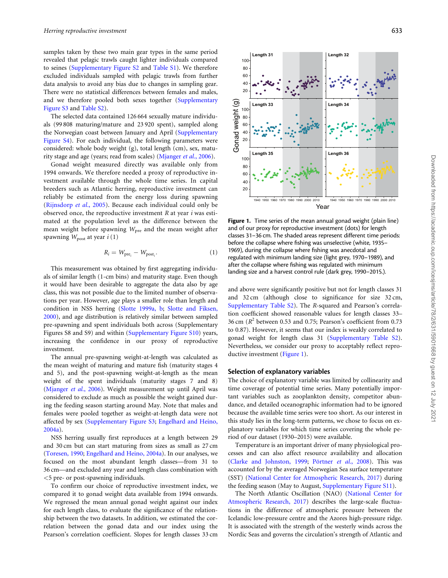samples taken by these two main gear types in the same period revealed that pelagic trawls caught lighter individuals compared to seines ([Supplementary Figure S2](https://academic.oup.com/icesjms/article-lookup/doi/10.1093/icesjms/fsaa123#supplementary-data) and [Table S1](https://academic.oup.com/icesjms/article-lookup/doi/10.1093/icesjms/fsaa123#supplementary-data)). We therefore excluded individuals sampled with pelagic trawls from further data analysis to avoid any bias due to changes in sampling gear. There were no statistical differences between females and males, and we therefore pooled both sexes together ([Supplementary](https://academic.oup.com/icesjms/article-lookup/doi/10.1093/icesjms/fsaa123#supplementary-data) [Figure S3](https://academic.oup.com/icesjms/article-lookup/doi/10.1093/icesjms/fsaa123#supplementary-data) and [Table S2](https://academic.oup.com/icesjms/article-lookup/doi/10.1093/icesjms/fsaa123#supplementary-data)).

The selected data contained 126 664 sexually mature individuals (99 808 maturing/mature and 23 920 spent), sampled along the Norwegian coast between January and April ([Supplementary](https://academic.oup.com/icesjms/article-lookup/doi/10.1093/icesjms/fsaa123#supplementary-data) [Figure S4](https://academic.oup.com/icesjms/article-lookup/doi/10.1093/icesjms/fsaa123#supplementary-data)). For each individual, the following parameters were considered: whole body weight (g), total length (cm), sex, maturity stage and age (years; read from scales) [\(Mjanger](#page-7-0) et al., 2006).

Gonad weight measured directly was available only from 1994 onwards. We therefore needed a proxy of reproductive investment available through the whole time series. In capital breeders such as Atlantic herring, reproductive investment can reliably be estimated from the energy loss during spawning ([Rijnsdorp](#page-8-0) et al., 2005). Because each individual could only be observed once, the reproductive investment  $R$  at year  $i$  was estimated at the population level as the difference between the mean weight before spawning  $W_{\text{pre}}$  and the mean weight after spawning  $W_{\text{post}}$  at year  $i(1)$ 

$$
R_i = W_{\text{pre}_i} - W_{\text{post}_i}.\tag{1}
$$

This measurement was obtained by first aggregating individuals of similar length (1-cm bins) and maturity stage. Even though it would have been desirable to aggregate the data also by age class, this was not possible due to the limited number of observations per year. However, age plays a smaller role than length and condition in NSS herring [\(Slotte 1999a, b;](#page-8-0) [Slotte and Fiksen,](#page-8-0) [2000\)](#page-8-0), and age distribution is relatively similar between sampled pre-spawning and spent individuals both across (Supplementary Figures S8 and S9) and within ([Supplementary Figure S10\)](https://academic.oup.com/icesjms/article-lookup/doi/10.1093/icesjms/fsaa123#supplementary-data) years, increasing the confidence in our proxy of reproductive investment.

The annual pre-spawning weight-at-length was calculated as the mean weight of maturing and mature fish (maturity stages 4 and 5), and the post-spawning weight-at-length as the mean weight of the spent individuals (maturity stages 7 and 8) ([Mjanger](#page-7-0) et al., 2006). Weight measurement up until April was considered to exclude as much as possible the weight gained during the feeding season starting around May. Note that males and females were pooled together as weight-at-length data were not affected by sex [\(Supplementary Figure S3;](https://academic.oup.com/icesjms/article-lookup/doi/10.1093/icesjms/fsaa123#supplementary-data) [Engelhard and Heino,](#page-7-0) [2004a\)](#page-7-0).

NSS herring usually first reproduces at a length between 29 and 30 cm but can start maturing from sizes as small as 27 cm ([Toresen, 1990](#page-8-0); [Engelhard and Heino, 2004a](#page-7-0)). In our analyses, we focused on the most abundant length classes—from 31 to 36 cm—and excluded any year and length class combination with <5 pre- or post-spawning individuals.

To confirm our choice of reproductive investment index, we compared it to gonad weight data available from 1994 onwards. We regressed the mean annual gonad weight against our index for each length class, to evaluate the significance of the relationship between the two datasets. In addition, we estimated the correlation between the gonad data and our index using the Pearson's correlation coefficient. Slopes for length classes 33 cm

**Figure 1.** Time series of the mean annual gonad weight (plain line) and of our proxy for reproductive investment (dots) for length classes 31–36 cm. The shaded areas represent different time periods: before the collapse where fishing was unselective (white, 1935– 1969), during the collapse where fishing was anecdotal and regulated with minimum landing size (light grey, 1970–1989), and after the collapse where fishing was regulated with minimum landing size and a harvest control rule (dark grey, 1990–2015.).

and above were significantly positive but not for length classes 31 and 32 cm (although close to significance for size 32 cm, [Supplementary Table S2](https://academic.oup.com/icesjms/article-lookup/doi/10.1093/icesjms/fsaa123#supplementary-data)). The R-squared and Pearson's correlation coefficient showed reasonable values for length classes 33– 36 cm ( $\mathbb{R}^2$  between 0.53 and 0.75; Pearson's coefficient from 0.73 to 0.87). However, it seems that our index is weakly correlated to gonad weight for length class 31 ([Supplementary Table S2](https://academic.oup.com/icesjms/article-lookup/doi/10.1093/icesjms/fsaa123#supplementary-data)). Nevertheless, we consider our proxy to acceptably reflect reproductive investment (Figure 1).

#### Selection of explanatory variables

The choice of explanatory variable was limited by collinearity and time coverage of potential time series. Many potentially important variables such as zooplankton density, competitor abundance, and detailed oceanographic information had to be ignored because the available time series were too short. As our interest in this study lies in the long-term patterns, we chose to focus on explanatory variables for which time series covering the whole period of our dataset (1930–2015) were available.

Temperature is an important driver of many physiological processes and can also affect resource availability and allocation [\(Clarke and Johnston, 1999](#page-6-0); Pörtner et al., 2008). This was accounted for by the averaged Norwegian Sea surface temperature (SST) [\(National Center for Atmospheric Research, 2017](#page-7-0)) during the feeding season (May to August, [Supplementary Figure S11](https://academic.oup.com/icesjms/article-lookup/doi/10.1093/icesjms/fsaa123#supplementary-data)).

The North Atlantic Oscillation (NAO) [\(National Center for](#page-7-0) [Atmospheric Research, 2017\)](#page-7-0) describes the large-scale fluctuations in the difference of atmospheric pressure between the Icelandic low-pressure centre and the Azores high-pressure ridge. It is associated with the strength of the westerly winds across the Nordic Seas and governs the circulation's strength of Atlantic and

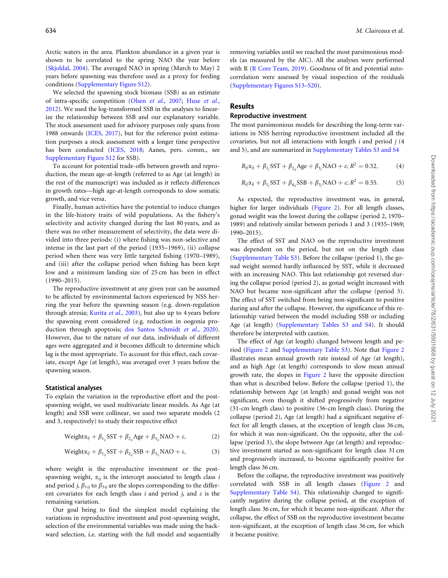Arctic waters in the area. Plankton abundance in a given year is shown to be correlated to the spring NAO the year before ([Skjoldal, 2004\)](#page-8-0). The averaged NAO in spring (March to May) 2 years before spawning was therefore used as a proxy for feeding conditions [\(Supplementary Figure S12\)](https://academic.oup.com/icesjms/article-lookup/doi/10.1093/icesjms/fsaa123#supplementary-data).

We selected the spawning stock biomass (SSB) as an estimate of intra-specific competition (Olsen et al.[, 2007](#page-7-0); Huse [et al.](#page-7-0), [2012\)](#page-7-0). We used the log-transformed SSB in the analyses to linearize the relationship between SSB and our explanatory variable. The stock assessment used for advisory purposes only spans from 1988 onwards [\(ICES, 2017](#page-7-0)), but for the reference point estimation purposes a stock assessment with a longer time perspective has been conducted [\(ICES, 2018;](#page-7-0) Aanes, pers. comm., see [Supplementary Figure S12](https://academic.oup.com/icesjms/article-lookup/doi/10.1093/icesjms/fsaa123#supplementary-data) for SSB).

To account for potential trade-offs between growth and reproduction, the mean age-at-length (referred to as Age (at length) in the rest of the manuscript) was included as it reflects differences in growth rates—high age-at-length corresponds to slow somatic growth, and vice versa.

Finally, human activities have the potential to induce changes in the life-history traits of wild populations. As the fishery's selectivity and activity changed during the last 80 years, and as there was no other measurement of selectivity, the data were divided into three periods: (i) where fishing was non-selective and intense in the last part of the period (1935–1969), (ii) collapse period when there was very little targeted fishing (1970–1989), and (iii) after the collapse period when fishing has been kept low and a minimum landing size of 25 cm has been in effect (1990–2015).

The reproductive investment at any given year can be assumed to be affected by environmental factors experienced by NSS herring the year before the spawning season (e.g. down-regulation through atresia; [Kurita](#page-7-0) et al., 2003), but also up to 4 years before the spawning event considered (e.g. reduction in oogonia production through apoptosis; [dos Santos Schmidt](#page-6-0) et al., 2020). However, due to the nature of our data, individuals of different ages were aggregated and it becomes difficult to determine which lag is the most appropriate. To account for this effect, each covariate, except Age (at length), was averaged over 3 years before the spawning season.

#### Statistical analyses

To explain the variation in the reproductive effort and the postspawning weight, we used multivariate linear models. As Age (at length) and SSB were collinear, we used two separate models (2 and 3, respectively) to study their respective effect

$$
Weight \alpha_{ij} + \beta_{1_{ij}} SST + \beta_{2_{ij}} Age + \beta_{3_{ij}} NAO + \varepsilon,
$$
 (2)

$$
Weight \alpha_{ij} + \beta_{1ij} SST + \beta_{2ij} SSB + \beta_{3ij} NAO + \varepsilon,
$$
 (3)

where weight is the reproductive investment or the postspawning weight,  $\alpha_{ii}$  is the intercept associated to length class i and period *j*,  $\beta_{1ii}$  to  $\beta_{3ii}$  are the slopes corresponding to the different covariates for each length class  $i$  and period  $j$ , and  $\varepsilon$  is the remaining variation.

Our goal being to find the simplest model explaining the variations in reproductive investment and post-spawning weight, selection of the environmental variables was made using the backward selection, i.e. starting with the full model and sequentially removing variables until we reached the most parsimonious models (as measured by the AIC). All the analyses were performed with R ([R Core Team, 2019\)](#page-8-0). Goodness of fit and potential autocorrelation were assessed by visual inspection of the residuals ([Supplementary Figures S13–S20\)](https://academic.oup.com/icesjms/article-lookup/doi/10.1093/icesjms/fsaa123#supplementary-data).

## Results

#### Reproductive investment

The most parsimonious models for describing the long-term variations in NSS herring reproductive investment included all the covariates, but not all interactions with length  $i$  and period  $j$  (4 and 5), and are summarized in [Supplementary Tables S3 and S4](https://academic.oup.com/icesjms/article-lookup/doi/10.1093/icesjms/fsaa123#supplementary-data)

$$
R_{ij}\alpha_{ij} + \beta_{1j} \text{SST} + \beta_{2ij} \text{Age} + \beta_{3j} \text{NAO} + \varepsilon; R^2 = 0.52, \tag{4}
$$

$$
R_{ij}\alpha_{ij} + \beta_{1j} \text{SST} + \beta_{4ij} \text{SSB} + \beta_{3j} \text{NAO} + \varepsilon; R^2 = 0.55. \tag{5}
$$

As expected, the reproductive investment was, in general, higher for larger individuals ([Figure 2](#page-4-0)). For all length classes, gonad weight was the lowest during the collapse (period 2, 1970– 1989) and relatively similar between periods 1 and 3 (1935–1969; 1990–2015).

The effect of SST and NAO on the reproductive investment was dependent on the period, but not on the length class ([Supplementary Table S3](https://academic.oup.com/icesjms/article-lookup/doi/10.1093/icesjms/fsaa123#supplementary-data)). Before the collapse (period 1), the gonad weight seemed hardly influenced by SST, while it decreased with an increasing NAO. This last relationship got reversed during the collapse period (period 2), as gonad weight increased with NAO but became non-significant after the collapse (period 3). The effect of SST switched from being non-significant to positive during and after the collapse. However, the significance of this relationship varied between the model including SSB or including Age (at length) [\(Supplementary Tables S3 and S4\)](https://academic.oup.com/icesjms/article-lookup/doi/10.1093/icesjms/fsaa123#supplementary-data). It should therefore be interpreted with caution.

The effect of Age (at length) changed between length and period [\(Figure 2](#page-4-0) and [Supplementary Table S3\)](https://academic.oup.com/icesjms/article-lookup/doi/10.1093/icesjms/fsaa123#supplementary-data). Note that [Figure 2](#page-4-0) illustrates mean annual growth rate instead of Age (at length), and as high Age (at length) corresponds to slow mean annual growth rate, the slopes in [Figure 2](#page-4-0) have the opposite direction than what is described below. Before the collapse (period 1), the relationship between Age (at length) and gonad weight was not significant, even though it shifted progressively from negative (31-cm length class) to positive (36-cm length class). During the collapse (period 2), Age (at length) had a significant negative effect for all length classes, at the exception of length class 36 cm, for which it was non-significant. On the opposite, after the collapse (period 3), the slope between Age (at length) and reproductive investment started as non-significant for length class 31 cm and progressively increased, to become significantly positive for length class 36 cm.

Before the collapse, the reproductive investment was positively correlated with SSB in all length classes [\(Figure 2](#page-4-0) and [Supplementary Table S4\)](https://academic.oup.com/icesjms/article-lookup/doi/10.1093/icesjms/fsaa123#supplementary-data). This relationship changed to significantly negative during the collapse period, at the exception of length class 36 cm, for which it became non-significant. After the collapse, the effect of SSB on the reproductive investment became non-significant, at the exception of length class 36 cm, for which it became positive.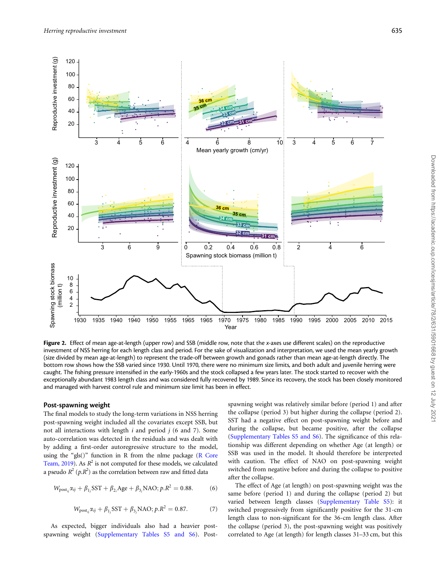<span id="page-4-0"></span>

Figure 2. Effect of mean age-at-length (upper row) and SSB (middle row, note that the x-axes use different scales) on the reproductive investment of NSS herring for each length class and period. For the sake of visualization and interpretation, we used the mean yearly growth (size divided by mean age-at-length) to represent the trade-off between growth and gonads rather than mean age-at-length directly. The bottom row shows how the SSB varied since 1930. Until 1970, there were no minimum size limits, and both adult and juvenile herring were caught. The fishing pressure intensified in the early-1960s and the stock collapsed a few years later. The stock started to recover with the exceptionally abundant 1983 length class and was considered fully recovered by 1989. Since its recovery, the stock has been closely monitored and managed with harvest control rule and minimum size limit has been in effect.

#### Post-spawning weight

The final models to study the long-term variations in NSS herring post-spawning weight included all the covariates except SSB, but not all interactions with length  $i$  and period  $j$  (6 and 7). Some auto-correlation was detected in the residuals and was dealt with by adding a first-order autoregressive structure to the model, using the "gls()" function in R from the nlme package ( $R$  Core [Team, 2019](#page-8-0)). As  $R^2$  is not computed for these models, we calculated a pseudo  $R^2$  (p. $R^2$ ) as the correlation between raw and fitted data

$$
W_{\text{post}_{ij}} \alpha_{ij} + \beta_{1j} \text{SST} + \beta_{2i} \text{Age} + \beta_{3j} \text{NAO}; p. R^2 = 0.88. \tag{6}
$$

$$
W_{\text{post}_{ij}} \alpha_{ij} + \beta_{1j} \text{SST} + \beta_{3j} \text{NAO}; p. R^2 = 0.87. \tag{7}
$$

As expected, bigger individuals also had a heavier postspawning weight ([Supplementary Tables S5 and S6](https://academic.oup.com/icesjms/article-lookup/doi/10.1093/icesjms/fsaa123#supplementary-data)). Post-

spawning weight was relatively similar before (period 1) and after the collapse (period 3) but higher during the collapse (period 2). SST had a negative effect on post-spawning weight before and during the collapse, but became positive, after the collapse [\(Supplementary Tables S5 and S6](https://academic.oup.com/icesjms/article-lookup/doi/10.1093/icesjms/fsaa123#supplementary-data)). The significance of this relationship was different depending on whether Age (at length) or SSB was used in the model. It should therefore be interpreted with caution. The effect of NAO on post-spawning weight switched from negative before and during the collapse to positive after the collapse.

The effect of Age (at length) on post-spawning weight was the same before (period 1) and during the collapse (period 2) but varied between length classes [\(Supplementary Table S5](https://academic.oup.com/icesjms/article-lookup/doi/10.1093/icesjms/fsaa123#supplementary-data)): it switched progressively from significantly positive for the 31-cm length class to non-significant for the 36-cm length class. After the collapse (period 3), the post-spawning weight was positively correlated to Age (at length) for length classes 31–33 cm, but this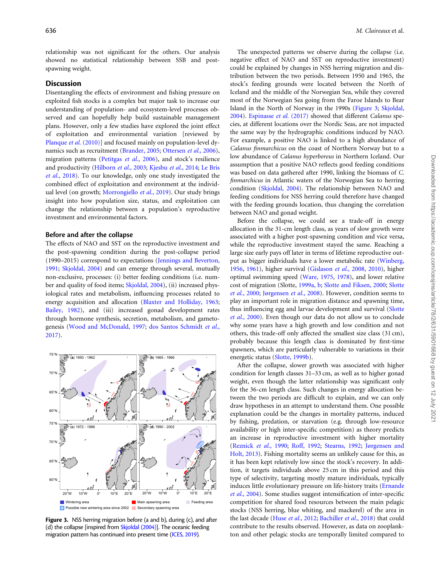<span id="page-5-0"></span>relationship was not significant for the others. Our analysis showed no statistical relationship between SSB and postspawning weight.

# Discussion

Disentangling the effects of environment and fishing pressure on exploited fish stocks is a complex but major task to increase our understanding of population- and ecosystem-level processes observed and can hopefully help build sustainable management plans. However, only a few studies have explored the joint effect of exploitation and environmental variation [reviewed by [Planque](#page-8-0) et al. (2010)] and focused mainly on population-level dynamics such as recruitment [\(Brander, 2005](#page-6-0); [Ottersen](#page-8-0) et al., 2006), migration patterns ([Petitgas](#page-8-0) et al., 2006), and stock's resilience and productivity [\(Hilborn](#page-7-0) et al., 2003; [Kjesbu](#page-7-0) et al., 2014; [Le Bris](#page-7-0) et al.[, 2018\)](#page-7-0). To our knowledge, only one study investigated the combined effect of exploitation and environment at the individual level (on growth; [Morrongiello](#page-7-0) et al., 2019). Our study brings insight into how population size, status, and exploitation can change the relationship between a population's reproductive investment and environmental factors.

#### Before and after the collapse

The effects of NAO and SST on the reproductive investment and the post-spawning condition during the post-collapse period (1990–2015) correspond to expectations ([Jennings and Beverton,](#page-7-0) [1991;](#page-7-0) [Skjoldal, 2004\)](#page-8-0) and can emerge through several, mutually non-exclusive, processes: (i) better feeding conditions (i.e. number and quality of food items; [Skjoldal, 2004\)](#page-8-0), (ii) increased physiological rates and metabolism, influencing processes related to energy acquisition and allocation ([Blaxter and Holliday, 1963](#page-6-0); [Bailey, 1982\)](#page-6-0), and (iii) increased gonad development rates through hormone synthesis, secretion, metabolism, and gametogenesis [\(Wood and McDonald, 1997](#page-8-0); [dos Santos Schmidt](#page-6-0) et al., [2017\)](#page-6-0).



Figure 3. NSS herring migration before (a and b), during (c), and after (d) the collapse [inspired from  $Skjoldal$  (2004)]. The oceanic feeding migration pattern has continued into present time [\(ICES, 2019\)](#page-7-0).

The unexpected patterns we observe during the collapse (i.e. negative effect of NAO and SST on reproductive investment) could be explained by changes in NSS herring migration and distribution between the two periods. Between 1950 and 1965, the stock's feeding grounds were located between the North of Iceland and the middle of the Norwegian Sea, while they covered most of the Norwegian Sea going from the Faroe Islands to Bear Island in the North of Norway in the 1990s (Figure 3; [Skjoldal,](#page-8-0) [2004\)](#page-8-0). [Espinasse](#page-7-0) et al. (2017) showed that different Calanus species, at different locations over the Nordic Seas, are not impacted the same way by the hydrographic conditions induced by NAO. For example, a positive NAO is linked to a high abundance of Calanus finmarchicus on the coast of Northern Norway but to a low abundance of Calanus hyperboreus in Northern Iceland. Our assumption that a positive NAO reflects good feeding conditions was based on data gathered after 1990, linking the biomass of C. finmarchicus in Atlantic waters of the Norwegian Sea to herring condition ([Skjoldal, 2004\)](#page-8-0). The relationship between NAO and feeding conditions for NSS herring could therefore have changed with the feeding grounds location, thus changing the correlation between NAO and gonad weight.

Before the collapse, we could see a trade-off in energy allocation in the 31-cm length class, as years of slow growth were associated with a higher post-spawning condition and vice versa, while the reproductive investment stayed the same. Reaching a large size early pays off later in terms of lifetime reproductive output as bigger individuals have a lower metabolic rate [\(Winberg,](#page-8-0) [1956,](#page-8-0) [1961](#page-8-0)), higher survival ([Gislason](#page-7-0) et al., 2008, [2010\)](#page-7-0), higher optimal swimming speed ([Ware, 1975,](#page-8-0) [1978](#page-8-0)), and lower relative cost of migration (Slotte, [1999a, b;](#page-8-0) [Slotte and Fiksen, 2000;](#page-8-0) [Slotte](#page-8-0) et al.[, 2000](#page-8-0); [J](#page-7-0)ø[rgensen](#page-7-0) et al., 2008). However, condition seems to play an important role in migration distance and spawning time, thus influencing egg and larvae development and survival [\(Slotte](#page-8-0) et al.[, 2000](#page-8-0)). Even though our data do not allow us to conclude why some years have a high growth and low condition and not others, this trade-off only affected the smallest size class (31 cm), probably because this length class is dominated by first-time spawners, which are particularly vulnerable to variations in their energetic status ([Slotte, 1999b\)](#page-8-0).

After the collapse, slower growth was associated with higher condition for length classes 31–33 cm, as well as to higher gonad weight, even though the latter relationship was significant only for the 36-cm length class. Such changes in energy allocation between the two periods are difficult to explain, and we can only draw hypotheses in an attempt to understand them. One possible explanation could be the changes in mortality patterns, induced by fishing, predation, or starvation (e.g. through low-resource availability or high inter-specific competition) as theory predicts an increase in reproductive investment with higher mortality ([Reznick](#page-8-0) et al., 1990; [Roff, 1992;](#page-8-0) [Stearns, 1992;](#page-8-0) [Jørgensen and](#page-7-0) [Holt, 2013](#page-7-0)). Fishing mortality seems an unlikely cause for this, as it has been kept relatively low since the stock's recovery. In addition, it targets individuals above 25 cm in this period and this type of selectivity, targeting mostly mature individuals, typically induces little evolutionary pressure on life-history traits [\(Ernande](#page-7-0) et al.[, 2004](#page-7-0)). Some studies suggest intensification of inter-specific competition for shared food resources between the main pelagic stocks (NSS herring, blue whiting, and mackerel) of the area in the last decade (Huse et al.[, 2012;](#page-7-0) [Bachiller](#page-6-0) et al., 2018) that could contribute to the results observed. However, as data on zooplankton and other pelagic stocks are temporally limited compared to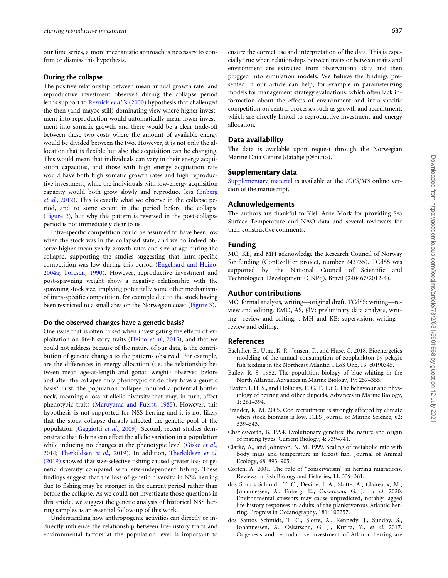<span id="page-6-0"></span>our time series, a more mechanistic approach is necessary to confirm or dismiss this hypothesis.

#### During the collapse

The positive relationship between mean annual growth rate and reproductive investment observed during the collapse period lends support to Reznick et al.['s \(2000\)](#page-8-0) hypothesis that challenged the then (and maybe still) dominating view where higher investment into reproduction would automatically mean lower investment into somatic growth, and there would be a clear trade-off between these two costs where the amount of available energy would be divided between the two. However, it is not only the allocation that is flexible but also the acquisition can be changing. This would mean that individuals can vary in their energy acquisition capacities, and those with high energy acquisition rate would have both high somatic growth rates and high reproductive investment, while the individuals with low-energy acquisition capacity would both grow slowly and reproduce less [\(Enberg](#page-7-0) et al.[, 2012](#page-7-0)). This is exactly what we observe in the collapse period, and to some extent in the period before the collapse ([Figure 2\)](#page-4-0), but why this pattern is reversed in the post-collapse period is not immediately clear to us.

Intra-specific competition could be assumed to have been low when the stock was in the collapsed state, and we do indeed observe higher mean yearly growth rates and size at age during the collapse, supporting the studies suggesting that intra-specific competition was low during this period ([Engelhard and Heino,](#page-7-0) [2004a;](#page-7-0) [Toresen, 1990\)](#page-8-0). However, reproductive investment and post-spawning weight show a negative relationship with the spawning stock size, implying potentially some other mechanisms of intra-specific competition, for example due to the stock having been restricted to a small area on the Norwegian coast ([Figure 3](#page-5-0)).

#### Do the observed changes have a genetic basis?

One issue that is often raised when investigating the effects of ex-ploitation on life-history traits (Heino et al.[, 2015](#page-7-0)), and that we could not address because of the nature of our data, is the contribution of genetic changes to the patterns observed. For example, are the differences in energy allocation (i.e. the relationship between mean age-at-length and gonad weight) observed before and after the collapse only phenotypic or do they have a genetic basis? First, the population collapse induced a potential bottleneck, meaning a loss of allelic diversity that may, in turn, affect phenotypic traits ([Maruyama and Fuerst, 1985](#page-7-0)). However, this hypothesis is not supported for NSS herring and it is not likely that the stock collapse durably affected the genetic pool of the population [\(Gaggiotti](#page-7-0) et al., 2009). Second, recent studies demonstrate that fishing can affect the allelic variation in a population while inducing no changes at the phenotypic level ([Giske](#page-7-0) et al., [2014;](#page-7-0) [Therkildsen](#page-8-0) et al., 2019). In addition, [Therkildsen](#page-8-0) et al. [\(2019\)](#page-8-0) showed that size-selective fishing caused greater loss of genetic diversity compared with size-independent fishing. These findings suggest that the loss of genetic diversity in NSS herring due to fishing may be stronger in the current period rather than before the collapse. As we could not investigate those questions in this article, we suggest the genetic analysis of historical NSS herring samples as an essential follow-up of this work.

Understanding how anthropogenic activities can directly or indirectly influence the relationship between life-history traits and environmental factors at the population level is important to ensure the correct use and interpretation of the data. This is especially true when relationships between traits or between traits and environment are extracted from observational data and then plugged into simulation models. We believe the findings presented in our article can help, for example in parameterizing models for management strategy evaluations, which often lack information about the effects of environment and intra-specific competition on central processes such as growth and recruitment, which are directly linked to reproductive investment and energy allocation.

# Data availability

The data is available upon request through the Norwegian Marine Data Centre (datahjelp@hi.no).

#### Supplementary data

[Supplementary material](https://academic.oup.com/icesjms/article-lookup/doi/10.1093/icesjms/fsaa123#supplementary-data) is available at the ICESJMS online version of the manuscript.

#### Acknowledgements

The authors are thankful to Kjell Arne Mork for providing Sea Surface Temperature and NAO data and several reviewers for their constructive comments.

# Funding

MC, KE, and MH acknowledge the Research Council of Norway for funding (ConEvolHer project, number 243735). TCdSS was supported by the National Council of Scientific and Technological Development (CNPq), Brazil (240467/2012-4).

#### Author contributions

MC: formal analysis, writing—original draft. TCdSS: writing—review and editing. EMO, AS, ØV: preliminary data analysis, writing—review and editing. . MH and KE: supervision, writing review and editing.

#### References

- Bachiller, E., Utne, K. R., Jansen, T., and Huse, G. 2018. Bioenergetics modeling of the annual consumption of zooplankton by pelagic fish feeding in the Northeast Atlantic. PLoS One, 13: e0190345.
- Bailey, R. S. 1982. The population biology of blue whiting in the North Atlantic. Advances in Marine Biology, 19: 257–355.
- Blaxter, J. H. S., and Holliday, F. G. T. 1963. The behaviour and physiology of herring and other clupeids. Advances in Marine Biology, 1: 261–394.
- Brander, K. M. 2005. Cod recruitment is strongly affected by climate when stock biomass is low. ICES Journal of Marine Science, 62: 339–343.
- Charlesworth, B. 1994. Evolutionary genetics: the nature and origin of mating types. Current Biology, 4: 739–741.
- Clarke, A., and Johnston, N. M. 1999. Scaling of metabolic rate with body mass and temperature in teleost fish. Journal of Animal Ecology, 68: 893–905.
- Corten, A. 2001. The role of "conservatism" in herring migrations. Reviews in Fish Biology and Fisheries, 11: 339–361.
- dos Santos Schmidt, T. C., Devine, J. A., Slotte, A., Claireaux, M., Johannessen, A., Enberg, K., Óskarsson, G. J., et al. 2020. Environmental stressors may cause unpredicted, notably lagged life-history responses in adults of the planktivorous Atlantic herring. Progress in Oceanography, 181: 102257.
- dos Santos Schmidt, T. C., Slotte, A., Kennedy, J., Sundby, S., Johannessen, A., Oskarsson, G. J., Kurita, Y., et al. 2017. Oogenesis and reproductive investment of Atlantic herring are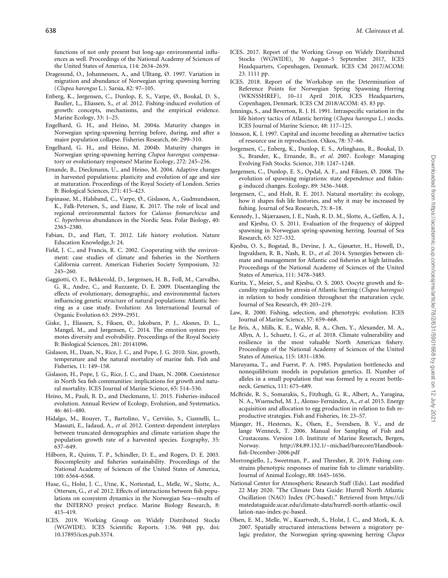<span id="page-7-0"></span>functions of not only present but long-ago environmental influences as well. Proceedings of the National Academy of Sciences of the United States of America, 114: 2634–2639.

- Dragesund, O., Johannessen, A., and Ulltang, Ø. 1997. Variation in migration and abundance of Norwegian spring spawning herring (Clupea harengus L.). Sarsia, 82: 97–105.
- Enberg, K., Jørgensen, C., Dunlop, E. S., Varpe, Ø., Boukal, D. S., Baulier, L., Eliassen, S., et al. 2012. Fishing-induced evolution of growth: concepts, mechanisms, and the empirical evidence. Marine Ecology, 33: 1–25.
- Engelhard, G. H., and Heino, M. 2004a. Maturity changes in Norwegian spring-spawning herring before, during, and after a major population collapse. Fisheries Research, 66: 299–310.
- Engelhard, G. H., and Heino, M. 2004b. Maturity changes in Norwegian spring-spawning herring Clupea harengus: compensatory or evolutionary responses? Marine Ecology, 272: 245–256.
- Ernande, B., Dieckmann, U., and Heino, M. 2004. Adaptive changes in harvested populations: plasticity and evolution of age and size at maturation. Proceedings of the Royal Society of London. Series B: Biological Sciences, 271: 415–423.
- Espinasse, M., Halsband, C., Varpe, Ø., Gislason, A., Gudmundsson, K., Falk-Petersen, S., and Eiane, K. 2017. The role of local and regional environmental factors for Calanus finmarchicus and C. hyperboreus abundances in the Nordic Seas. Polar Biology, 40: 2363–2380.
- Fabian, D., and Flatt, T. 2012. Life history evolution. Nature Education Knowledge,3: 24.
- Field, J. C., and Francis, R. C. 2002. Cooperating with the environment: case studies of climate and fisheries in the Northern California current. American Fisheries Society Symposium, 32: 245–260.
- Gaggiotti, O. E., Bekkevold, D., Jørgensen, H. B., Foll, M., Carvalho, G. R., Andre, C., and Ruzzante, D. E. 2009. Disentangling the effects of evolutionary, demographic, and environmental factors influencing genetic structure of natural populations: Atlantic herring as a case study. Evolution: An International Journal of Organic Evolution 63: 2939–2951.
- Giske, J., Eliassen, S., Fiksen, Ø., Jakobsen, P. J., Aksnes, D. L., Mangel, M., and Jørgensen, C. 2014. The emotion system promotes diversity and evolvability. Proceedings of the Royal Society B: Biological Sciences, 281: 20141096.
- Gislason, H., Daan, N., Rice, J. C., and Pope, J. G. 2010. Size, growth, temperature and the natural mortality of marine fish. Fish and Fisheries, 11: 149–158.
- Gislason, H., Pope, J. G., Rice, J. C., and Daan, N. 2008. Coexistence in North Sea fish communities: implications for growth and natural mortality. ICES Journal of Marine Science, 65: 514–530.
- Heino, M., Pauli, B. D., and Dieckmann, U. 2015. Fisheries-induced evolution. Annual Review of Ecology, Evolution, and Systematics, 46: 461–480.
- Hidalgo, M., Rouyer, T., Bartolino, V., Cervino, S., Ciannelli, L., ~ Massutí, E., Jadaud, A., et al. 2012. Context-dependent interplays between truncated demographies and climate variation shape the population growth rate of a harvested species. Ecography, 35: 637–649.
- Hilborn, R., Quinn, T. P., Schindler, D. E., and Rogers, D. E. 2003. Biocomplexity and fisheries sustainability. Proceedings of the National Academy of Sciences of the United States of America, 100: 6564–6568.
- Huse, G., Holst, J. C., Utne, K., Nottestad, L., Melle, W., Slotte, A., Ottersen, G., et al. 2012. Effects of interactions between fish populations on ecosystem dynamics in the Norwegian Sea—results of the INFERNO project preface. Marine Biology Research, 8: 415–419.
- ICES. 2019. Working Group on Widely Distributed Stocks (WGWIDE). ICES Scientific Reports. 1:36. 948 pp, doi: 10.17895/ices.pub.5574.
- ICES. 2017. Report of the Working Group on Widely Distributed Stocks (WGWIDE), 30 August–5 September 2017, ICES Headquarters, Copenhagen, Denmark. ICES CM 2017/ACOM: 23. 1111 pp.
- ICES. 2018. Report of the Workshop on the Determination of Reference Points for Norwegian Spring Spawning Herring (WKNSSHREF), 10–11 April 2018, ICES Headquarters, Copenhagen, Denmark. ICES CM 2018/ACOM: 45. 83 pp.
- Jennings, S., and Beverton, R. J. H. 1991. Intraspecific variation in the life history tactics of Atlantic herring (Clupea harengus L.) stocks. ICES Journal of Marine Science, 48: 117–125.
- Jönsson, K. I. 1997. Capital and income breeding as alternative tactics of resource use in reproduction. Oikos, 78: 57–66.
- Jorgensen, C., Enberg, K., Dunlop, E. S., Arlinghaus, R., Boukal, D. S., Brander, K., Ernande, B., et al. 2007. Ecology: Managing Evolving Fish Stocks. Science, 318: 1247–1248.
- Jørgensen, C., Dunlop, E. S., Opdal, A. F., and Fiksen, Ø. 2008. The evolution of spawning migrations: state dependence and fishing-induced changes. Ecology, 89: 3436–3448.
- Jørgensen, C., and Holt, R. E. 2013. Natural mortality: its ecology, how it shapes fish life histories, and why it may be increased by fishing. Journal of Sea Research, 75: 8–18.
- Kennedy, J., Skjæraasen, J. E., Nash, R. D. M., Slotte, A., Geffen, A. J., and Kjesbu, O. S. 2011. Evaluation of the frequency of skipped spawning in Norwegian spring-spawning herring. Journal of Sea Research, 65: 327–332.
- Kjesbu, O. S., Bogstad, B., Devine, J. A., Gjøsæter, H., Howell, D., Ingvaldsen, R. B., Nash, R. D., et al. 2014. Synergies between climate and management for Atlantic cod fisheries at high latitudes. Proceedings of the National Academy of Sciences of the United States of America, 111: 3478–3483.
- Kurita, Y., Meier, S., and Kjesbu, O. S. 2003. Oocyte growth and fecundity regulation by atresia of Atlantic herring (Clupea harengus) in relation to body condition throughout the maturation cycle. Journal of Sea Research, 49: 203–219.
- Law, R. 2000. Fishing, selection, and phenotypic evolution. ICES Journal of Marine Science, 57: 659–668.
- Le Bris, A., Mills, K. E., Wahle, R. A., Chen, Y., Alexander, M. A., Allyn, A. J., Schuetz, J. G., et al. 2018. Climate vulnerability and resilience in the most valuable North American fishery. Proceedings of the National Academy of Sciences of the United States of America, 115: 1831–1836.
- Maruyama, T., and Fuerst, P. A. 1985. Population bottlenecks and nonequilibrium models in population genetics. II. Number of alleles in a small population that was formed by a recent bottleneck. Genetics, 111: 675–689.
- McBride, R. S., Somarakis, S., Fitzhugh, G. R., Albert, A., Yaragina, N. A., Wuenschel, M. J., Alonso-Fernández, A., et al. 2015. Energy acquisition and allocation to egg production in relation to fish reproductive strategies. Fish and Fisheries, 16: 23–57.
- Mjanger, H., Hestenes, K., Olsen, E., Svendsen, B. V., and de lange Wenneck, T. 2006. Manual for Sampling of Fish and Crustaceans. Version 1.0. Institute of Marine Reserach, Bergen, Norway. http://84.89.132.1/~michael/barecore/Handbookfish-December-2006.pdf
- Morrongiello, J., Sweetman, P., and Thresher, R. 2019. Fishing constrains phenotypic responses of marine fish to climate variability. Journal of Animal Ecology, 88: 1645–1656.
- National Center for Atmospheric Research Staff (Eds). Last modified 22 May 2020. "The Climate Data Guide: Hurrell North Atlantic Oscillation (NAO) Index (PC-based)." Retrieved from [https://cli](https://climatedataguide.ucar.edu/climate-data/hurrell-north-atlantic-oscillation-nao-index-pc-based) [matedataguide.ucar.edu/climate-data/hurrell-north-atlantic-oscil](https://climatedataguide.ucar.edu/climate-data/hurrell-north-atlantic-oscillation-nao-index-pc-based) [lation-nao-index-pc-based.](https://climatedataguide.ucar.edu/climate-data/hurrell-north-atlantic-oscillation-nao-index-pc-based)
- Olsen, E. M., Melle, W., Kaartvedt, S., Holst, J. C., and Mork, K. A. 2007. Spatially structured interactions between a migratory pelagic predator, the Norwegian spring-spawning herring Clupea